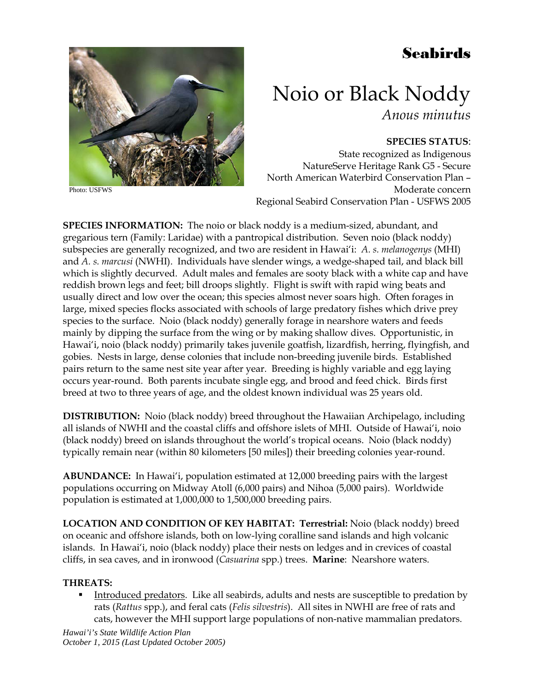# Seabirds



Photo: USFWS

# Noio or Black Noddy *Anous minutus*

## **SPECIES STATUS**:

State recognized as Indigenous NatureServe Heritage Rank G5 - Secure North American Waterbird Conservation Plan – Moderate concern Regional Seabird Conservation Plan - USFWS 2005

**SPECIES INFORMATION:** The noio or black noddy is a medium-sized, abundant, and gregarious tern (Family: Laridae) with a pantropical distribution. Seven noio (black noddy) subspecies are generally recognized, and two are resident in Hawai'i: *A. s. melanogenys* (MHI) and *A. s. marcusi* (NWHI). Individuals have slender wings, a wedge-shaped tail, and black bill which is slightly decurved. Adult males and females are sooty black with a white cap and have reddish brown legs and feet; bill droops slightly. Flight is swift with rapid wing beats and usually direct and low over the ocean; this species almost never soars high. Often forages in large, mixed species flocks associated with schools of large predatory fishes which drive prey species to the surface. Noio (black noddy) generally forage in nearshore waters and feeds mainly by dipping the surface from the wing or by making shallow dives. Opportunistic, in Hawai'i, noio (black noddy) primarily takes juvenile goatfish, lizardfish, herring, flyingfish, and gobies. Nests in large, dense colonies that include non-breeding juvenile birds. Established pairs return to the same nest site year after year. Breeding is highly variable and egg laying occurs year-round. Both parents incubate single egg, and brood and feed chick. Birds first breed at two to three years of age, and the oldest known individual was 25 years old.

**DISTRIBUTION:** Noio (black noddy) breed throughout the Hawaiian Archipelago, including all islands of NWHI and the coastal cliffs and offshore islets of MHI. Outside of Hawai'i, noio (black noddy) breed on islands throughout the world's tropical oceans. Noio (black noddy) typically remain near (within 80 kilometers [50 miles]) their breeding colonies year-round.

**ABUNDANCE:** In Hawai'i, population estimated at 12,000 breeding pairs with the largest populations occurring on Midway Atoll (6,000 pairs) and Nihoa (5,000 pairs). Worldwide population is estimated at 1,000,000 to 1,500,000 breeding pairs.

**LOCATION AND CONDITION OF KEY HABITAT: Terrestrial:** Noio (black noddy) breed on oceanic and offshore islands, both on low-lying coralline sand islands and high volcanic islands. In Hawai'i, noio (black noddy) place their nests on ledges and in crevices of coastal cliffs, in sea caves, and in ironwood (*Casuarina* spp.) trees. **Marine**: Nearshore waters.

### **THREATS:**

 Introduced predators. Like all seabirds, adults and nests are susceptible to predation by rats (*Rattus* spp.), and feral cats (*Felis silvestris*). All sites in NWHI are free of rats and cats, however the MHI support large populations of non-native mammalian predators.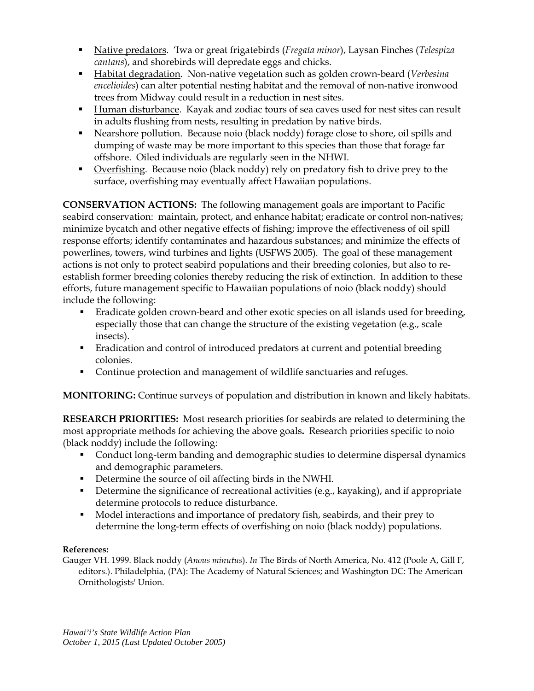- Native predators. 'Iwa or great frigatebirds (*Fregata minor*), Laysan Finches (*Telespiza cantans*), and shorebirds will depredate eggs and chicks.
- Habitat degradation. Non-native vegetation such as golden crown-beard (*Verbesina encelioides*) can alter potential nesting habitat and the removal of non-native ironwood trees from Midway could result in a reduction in nest sites.
- Human disturbance. Kayak and zodiac tours of sea caves used for nest sites can result in adults flushing from nests, resulting in predation by native birds.
- Nearshore pollution. Because noio (black noddy) forage close to shore, oil spills and dumping of waste may be more important to this species than those that forage far offshore. Oiled individuals are regularly seen in the NHWI.
- Overfishing. Because noio (black noddy) rely on predatory fish to drive prey to the surface, overfishing may eventually affect Hawaiian populations.

**CONSERVATION ACTIONS:** The following management goals are important to Pacific seabird conservation: maintain, protect, and enhance habitat; eradicate or control non-natives; minimize bycatch and other negative effects of fishing; improve the effectiveness of oil spill response efforts; identify contaminates and hazardous substances; and minimize the effects of powerlines, towers, wind turbines and lights (USFWS 2005). The goal of these management actions is not only to protect seabird populations and their breeding colonies, but also to reestablish former breeding colonies thereby reducing the risk of extinction. In addition to these efforts, future management specific to Hawaiian populations of noio (black noddy) should include the following:

- Eradicate golden crown-beard and other exotic species on all islands used for breeding, especially those that can change the structure of the existing vegetation (e.g., scale insects).
- **Eradication and control of introduced predators at current and potential breeding** colonies.
- Continue protection and management of wildlife sanctuaries and refuges.

**MONITORING:** Continue surveys of population and distribution in known and likely habitats.

**RESEARCH PRIORITIES:** Most research priorities for seabirds are related to determining the most appropriate methods for achieving the above goals**.** Research priorities specific to noio (black noddy) include the following:

- Conduct long-term banding and demographic studies to determine dispersal dynamics and demographic parameters.
- Determine the source of oil affecting birds in the NWHI.
- Determine the significance of recreational activities (e.g., kayaking), and if appropriate determine protocols to reduce disturbance.
- Model interactions and importance of predatory fish, seabirds, and their prey to determine the long-term effects of overfishing on noio (black noddy) populations.

### **References:**

Gauger VH. 1999. Black noddy (*Anous minutus*). *In* The Birds of North America, No. 412 (Poole A, Gill F, editors.). Philadelphia, (PA): The Academy of Natural Sciences; and Washington DC: The American Ornithologists' Union.